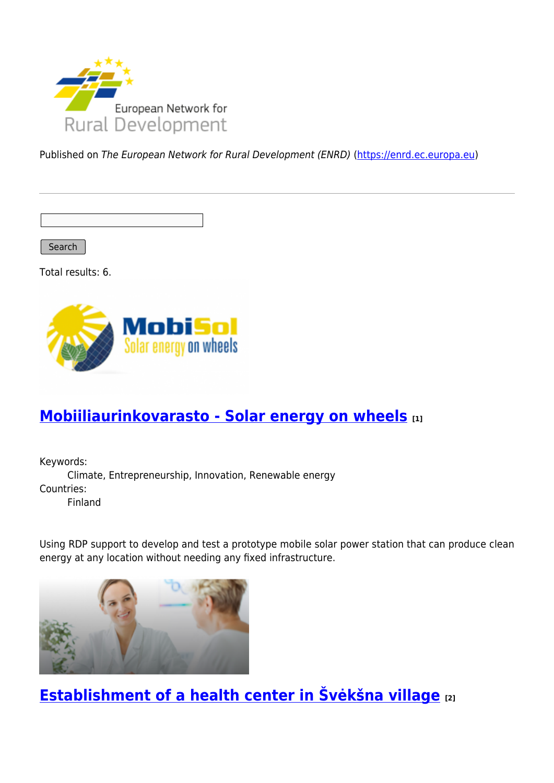

Published on The European Network for Rural Development (ENRD) [\(https://enrd.ec.europa.eu](https://enrd.ec.europa.eu))

Search

Total results: 6.



# **[Mobiiliaurinkovarasto - Solar energy on wheels](https://enrd.ec.europa.eu/projects-practice/mobiiliaurinkovarasto-solar-energy-wheels_en) [1]**

Keywords: Climate, Entrepreneurship, Innovation, Renewable energy Countries: Finland

Using RDP support to develop and test a prototype mobile solar power station that can produce clean energy at any location without needing any fixed infrastructure.



**[Establishment of a health center in Švėkšna village](https://enrd.ec.europa.eu/projects-practice/establishment-health-center-sveksna-village_en) [2]**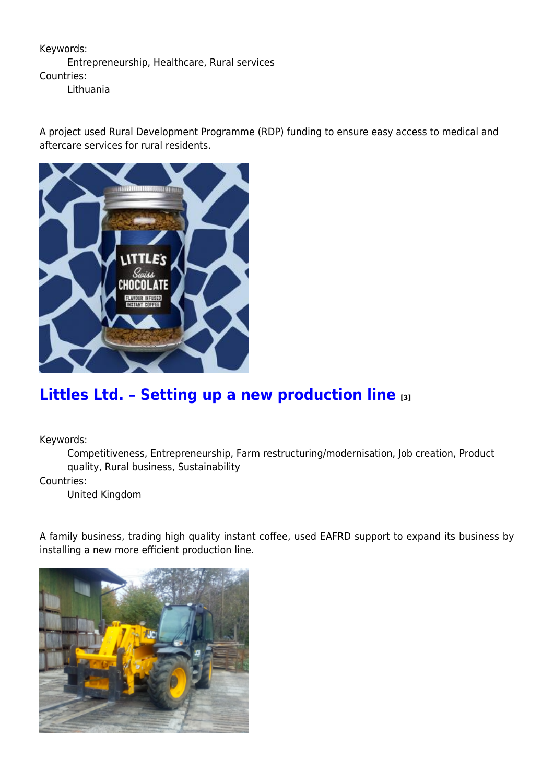### Keywords: Entrepreneurship, Healthcare, Rural services Countries:

Lithuania

A project used Rural Development Programme (RDP) funding to ensure easy access to medical and aftercare services for rural residents.



## **[Littles Ltd. – Setting up a new production line](https://enrd.ec.europa.eu/projects-practice/littles-ltd-setting-new-production-line_en) [3]**

Keywords:

Competitiveness, Entrepreneurship, Farm restructuring/modernisation, Job creation, Product quality, Rural business, Sustainability

Countries:

United Kingdom

A family business, trading high quality instant coffee, used EAFRD support to expand its business by installing a new more efficient production line.

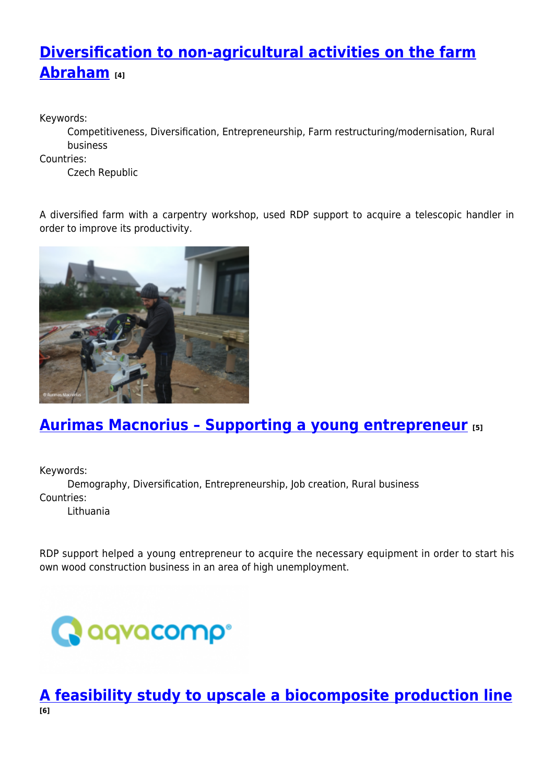# **[Diversification to non-agricultural activities on the farm](https://enrd.ec.europa.eu/projects-practice/diversification-non-agricultural-activities-farm-abraham_en) [Abraham](https://enrd.ec.europa.eu/projects-practice/diversification-non-agricultural-activities-farm-abraham_en) [4]**

Keywords:

Competitiveness, Diversification, Entrepreneurship, Farm restructuring/modernisation, Rural business

Countries:

Czech Republic

A diversified farm with a carpentry workshop, used RDP support to acquire a telescopic handler in order to improve its productivity.



## **[Aurimas Macnorius – Supporting a young entrepreneur](https://enrd.ec.europa.eu/projects-practice/aurimas-macnorius-supporting-young-entrepreneur_en) [5]**

Keywords:

Demography, Diversification, Entrepreneurship, Job creation, Rural business Countries:

Lithuania

RDP support helped a young entrepreneur to acquire the necessary equipment in order to start his own wood construction business in an area of high unemployment.



**[A feasibility study to upscale a biocomposite production line](https://enrd.ec.europa.eu/projects-practice/feasibility-study-upscale-biocomposite-production-line_en) [6]**